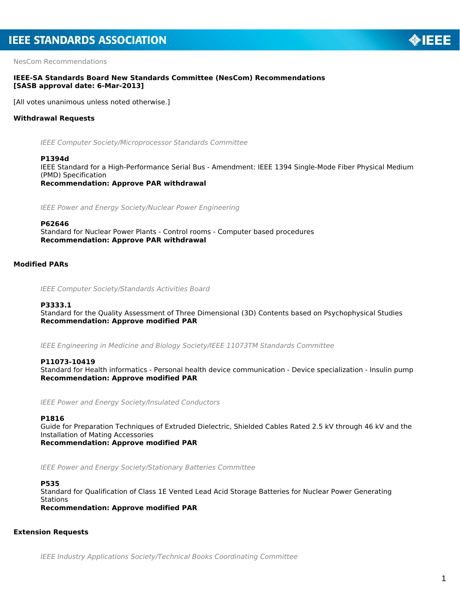NesCom Recommendations

### **IEEE-SA Standards Board New Standards Committee (NesCom) Recommendations [SASB approval date: 6-Mar-2013]**

[All votes unanimous unless noted otherwise.]

### **Withdrawal Requests**

*IEEE Computer Society/Microprocessor Standards Committee*

#### **P1394d**

IEEE Standard for a High-Performance Serial Bus - Amendment: IEEE 1394 Single-Mode Fiber Physical Medium (PMD) Specification

*Recommendation: Approve PAR withdrawal*

*IEEE Power and Energy Society/Nuclear Power Engineering*

#### **P62646**

Standard for Nuclear Power Plants - Control rooms - Computer based procedures *Recommendation: Approve PAR withdrawal*

# **Modified PARs**

*IEEE Computer Society/Standards Activities Board*

#### **P3333.1**

Standard for the Quality Assessment of Three Dimensional (3D) Contents based on Psychophysical Studies *Recommendation: Approve modified PAR*

*IEEE Engineering in Medicine and Biology Society/IEEE 11073TM Standards Committee*

#### **P11073-10419**

Standard for Health informatics - Personal health device communication - Device specialization - Insulin pump *Recommendation: Approve modified PAR*

*IEEE Power and Energy Society/Insulated Conductors*

#### **P1816**

Guide for Preparation Techniques of Extruded Dielectric, Shielded Cables Rated 2.5 kV through 46 kV and the Installation of Mating Accessories *Recommendation: Approve modified PAR*

*IEEE Power and Energy Society/Stationary Batteries Committee*

#### **P535**

Standard for Qualification of Class 1E Vented Lead Acid Storage Batteries for Nuclear Power Generating **Stations** 

*Recommendation: Approve modified PAR*

### **Extension Requests**

*IEEE Industry Applications Society/Technical Books Coordinating Committee*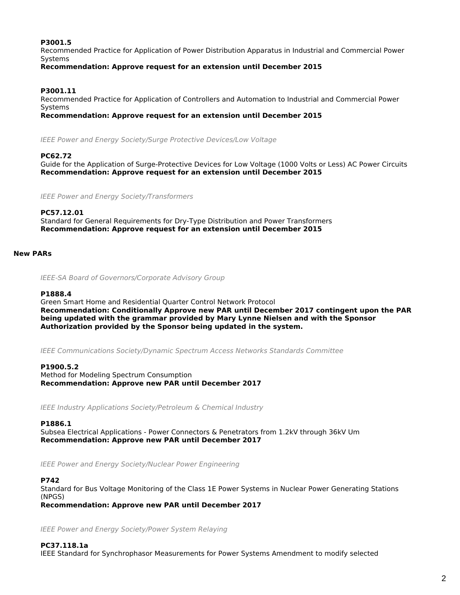## **P3001.5**

Recommended Practice for Application of Power Distribution Apparatus in Industrial and Commercial Power Systems

*Recommendation: Approve request for an extension until December 2015*

# **P3001.11**

Recommended Practice for Application of Controllers and Automation to Industrial and Commercial Power Systems

*Recommendation: Approve request for an extension until December 2015*

*IEEE Power and Energy Society/Surge Protective Devices/Low Voltage*

### **PC62.72**

Guide for the Application of Surge-Protective Devices for Low Voltage (1000 Volts or Less) AC Power Circuits *Recommendation: Approve request for an extension until December 2015*

*IEEE Power and Energy Society/Transformers*

## **PC57.12.01**

Standard for General Requirements for Dry-Type Distribution and Power Transformers *Recommendation: Approve request for an extension until December 2015*

## **New PARs**

*IEEE-SA Board of Governors/Corporate Advisory Group*

#### **P1888.4**

Green Smart Home and Residential Quarter Control Network Protocol *Recommendation: Conditionally Approve new PAR until December 2017 contingent upon the PAR being updated with the grammar provided by Mary Lynne Nielsen and with the Sponsor Authorization provided by the Sponsor being updated in the system.*

*IEEE Communications Society/Dynamic Spectrum Access Networks Standards Committee*

#### **P1900.5.2**

Method for Modeling Spectrum Consumption *Recommendation: Approve new PAR until December 2017*

*IEEE Industry Applications Society/Petroleum & Chemical Industry*

# **P1886.1**

Subsea Electrical Applications - Power Connectors & Penetrators from 1.2kV through 36kV Um *Recommendation: Approve new PAR until December 2017*

*IEEE Power and Energy Society/Nuclear Power Engineering*

# **P742**

Standard for Bus Voltage Monitoring of the Class 1E Power Systems in Nuclear Power Generating Stations (NPGS)

*Recommendation: Approve new PAR until December 2017*

*IEEE Power and Energy Society/Power System Relaying*

**PC37.118.1a** IEEE Standard for Synchrophasor Measurements for Power Systems Amendment to modify selected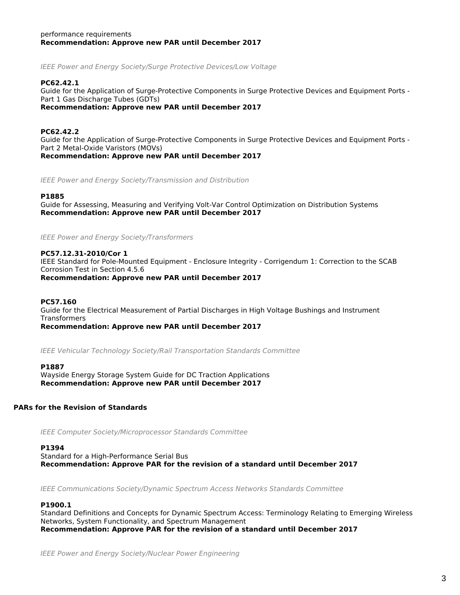### performance requirements *Recommendation: Approve new PAR until December 2017*

*IEEE Power and Energy Society/Surge Protective Devices/Low Voltage*

### **PC62.42.1**

Guide for the Application of Surge-Protective Components in Surge Protective Devices and Equipment Ports - Part 1 Gas Discharge Tubes (GDTs)

*Recommendation: Approve new PAR until December 2017*

### **PC62.42.2**

Guide for the Application of Surge-Protective Components in Surge Protective Devices and Equipment Ports - Part 2 Metal-Oxide Varistors (MOVs) *Recommendation: Approve new PAR until December 2017*

*IEEE Power and Energy Society/Transmission and Distribution*

#### **P1885**

Guide for Assessing, Measuring and Verifying Volt-Var Control Optimization on Distribution Systems *Recommendation: Approve new PAR until December 2017*

*IEEE Power and Energy Society/Transformers*

### **PC57.12.31-2010/Cor 1**

IEEE Standard for Pole-Mounted Equipment - Enclosure Integrity - Corrigendum 1: Correction to the SCAB Corrosion Test in Section 4.5.6

*Recommendation: Approve new PAR until December 2017*

### **PC57.160**

Guide for the Electrical Measurement of Partial Discharges in High Voltage Bushings and Instrument **Transformers** 

*Recommendation: Approve new PAR until December 2017*

*IEEE Vehicular Technology Society/Rail Transportation Standards Committee*

#### **P1887**

Wayside Energy Storage System Guide for DC Traction Applications *Recommendation: Approve new PAR until December 2017*

### **PARs for the Revision of Standards**

*IEEE Computer Society/Microprocessor Standards Committee*

#### **P1394**

Standard for a High-Performance Serial Bus *Recommendation: Approve PAR for the revision of a standard until December 2017*

*IEEE Communications Society/Dynamic Spectrum Access Networks Standards Committee*

#### **P1900.1**

Standard Definitions and Concepts for Dynamic Spectrum Access: Terminology Relating to Emerging Wireless Networks, System Functionality, and Spectrum Management *Recommendation: Approve PAR for the revision of a standard until December 2017*

*IEEE Power and Energy Society/Nuclear Power Engineering*